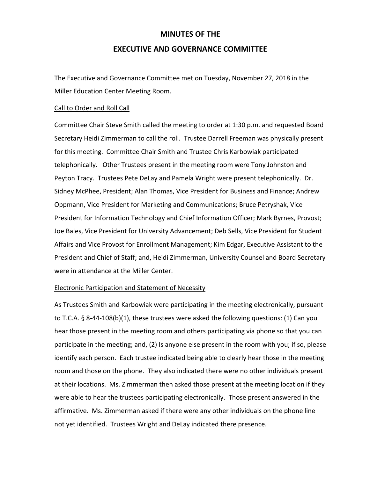# **MINUTES OF THE**

## **EXECUTIVE AND GOVERNANCE COMMITTEE**

The Executive and Governance Committee met on Tuesday, November 27, 2018 in the Miller Education Center Meeting Room.

#### Call to Order and Roll Call

Committee Chair Steve Smith called the meeting to order at 1:30 p.m. and requested Board Secretary Heidi Zimmerman to call the roll. Trustee Darrell Freeman was physically present for this meeting. Committee Chair Smith and Trustee Chris Karbowiak participated telephonically. Other Trustees present in the meeting room were Tony Johnston and Peyton Tracy. Trustees Pete DeLay and Pamela Wright were present telephonically. Dr. Sidney McPhee, President; Alan Thomas, Vice President for Business and Finance; Andrew Oppmann, Vice President for Marketing and Communications; Bruce Petryshak, Vice President for Information Technology and Chief Information Officer; Mark Byrnes, Provost; Joe Bales, Vice President for University Advancement; Deb Sells, Vice President for Student Affairs and Vice Provost for Enrollment Management; Kim Edgar, Executive Assistant to the President and Chief of Staff; and, Heidi Zimmerman, University Counsel and Board Secretary were in attendance at the Miller Center.

#### Electronic Participation and Statement of Necessity

As Trustees Smith and Karbowiak were participating in the meeting electronically, pursuant to T.C.A. § 8-44-108(b)(1), these trustees were asked the following questions: (1) Can you hear those present in the meeting room and others participating via phone so that you can participate in the meeting; and, (2) Is anyone else present in the room with you; if so, please identify each person. Each trustee indicated being able to clearly hear those in the meeting room and those on the phone. They also indicated there were no other individuals present at their locations. Ms. Zimmerman then asked those present at the meeting location if they were able to hear the trustees participating electronically. Those present answered in the affirmative. Ms. Zimmerman asked if there were any other individuals on the phone line not yet identified. Trustees Wright and DeLay indicated there presence.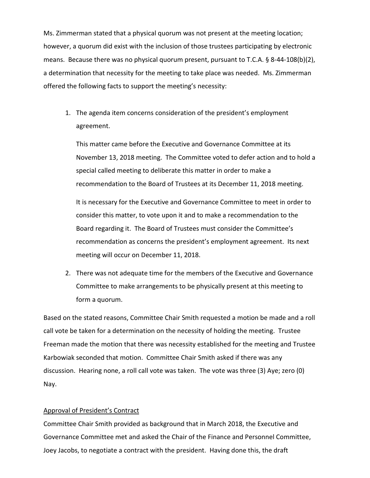Ms. Zimmerman stated that a physical quorum was not present at the meeting location; however, a quorum did exist with the inclusion of those trustees participating by electronic means. Because there was no physical quorum present, pursuant to T.C.A. § 8-44-108(b)(2), a determination that necessity for the meeting to take place was needed. Ms. Zimmerman offered the following facts to support the meeting's necessity:

1. The agenda item concerns consideration of the president's employment agreement.

This matter came before the Executive and Governance Committee at its November 13, 2018 meeting. The Committee voted to defer action and to hold a special called meeting to deliberate this matter in order to make a recommendation to the Board of Trustees at its December 11, 2018 meeting.

It is necessary for the Executive and Governance Committee to meet in order to consider this matter, to vote upon it and to make a recommendation to the Board regarding it. The Board of Trustees must consider the Committee's recommendation as concerns the president's employment agreement. Its next meeting will occur on December 11, 2018.

2. There was not adequate time for the members of the Executive and Governance Committee to make arrangements to be physically present at this meeting to form a quorum.

Based on the stated reasons, Committee Chair Smith requested a motion be made and a roll call vote be taken for a determination on the necessity of holding the meeting. Trustee Freeman made the motion that there was necessity established for the meeting and Trustee Karbowiak seconded that motion. Committee Chair Smith asked if there was any discussion. Hearing none, a roll call vote was taken. The vote was three (3) Aye; zero (0) Nay.

### Approval of President's Contract

Committee Chair Smith provided as background that in March 2018, the Executive and Governance Committee met and asked the Chair of the Finance and Personnel Committee, Joey Jacobs, to negotiate a contract with the president. Having done this, the draft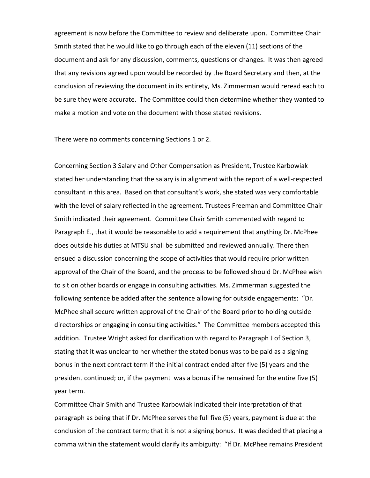agreement is now before the Committee to review and deliberate upon. Committee Chair Smith stated that he would like to go through each of the eleven (11) sections of the document and ask for any discussion, comments, questions or changes. It was then agreed that any revisions agreed upon would be recorded by the Board Secretary and then, at the conclusion of reviewing the document in its entirety, Ms. Zimmerman would reread each to be sure they were accurate. The Committee could then determine whether they wanted to make a motion and vote on the document with those stated revisions.

There were no comments concerning Sections 1 or 2.

Concerning Section 3 Salary and Other Compensation as President, Trustee Karbowiak stated her understanding that the salary is in alignment with the report of a well-respected consultant in this area. Based on that consultant's work, she stated was very comfortable with the level of salary reflected in the agreement. Trustees Freeman and Committee Chair Smith indicated their agreement. Committee Chair Smith commented with regard to Paragraph E., that it would be reasonable to add a requirement that anything Dr. McPhee does outside his duties at MTSU shall be submitted and reviewed annually. There then ensued a discussion concerning the scope of activities that would require prior written approval of the Chair of the Board, and the process to be followed should Dr. McPhee wish to sit on other boards or engage in consulting activities. Ms. Zimmerman suggested the following sentence be added after the sentence allowing for outside engagements: "Dr. McPhee shall secure written approval of the Chair of the Board prior to holding outside directorships or engaging in consulting activities." The Committee members accepted this addition. Trustee Wright asked for clarification with regard to Paragraph J of Section 3, stating that it was unclear to her whether the stated bonus was to be paid as a signing bonus in the next contract term if the initial contract ended after five (5) years and the president continued; or, if the payment was a bonus if he remained for the entire five (5) year term.

Committee Chair Smith and Trustee Karbowiak indicated their interpretation of that paragraph as being that if Dr. McPhee serves the full five (5) years, payment is due at the conclusion of the contract term; that it is not a signing bonus. It was decided that placing a comma within the statement would clarify its ambiguity: "If Dr. McPhee remains President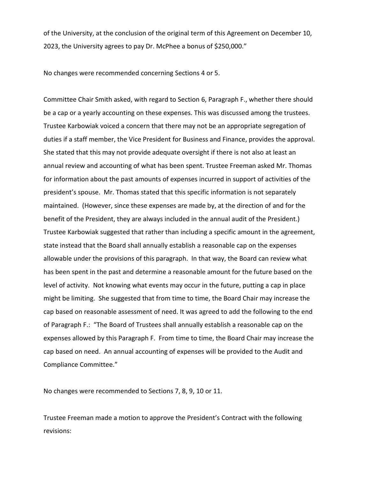of the University, at the conclusion of the original term of this Agreement on December 10, 2023, the University agrees to pay Dr. McPhee a bonus of \$250,000."

No changes were recommended concerning Sections 4 or 5.

Committee Chair Smith asked, with regard to Section 6, Paragraph F., whether there should be a cap or a yearly accounting on these expenses. This was discussed among the trustees. Trustee Karbowiak voiced a concern that there may not be an appropriate segregation of duties if a staff member, the Vice President for Business and Finance, provides the approval. She stated that this may not provide adequate oversight if there is not also at least an annual review and accounting of what has been spent. Trustee Freeman asked Mr. Thomas for information about the past amounts of expenses incurred in support of activities of the president's spouse. Mr. Thomas stated that this specific information is not separately maintained. (However, since these expenses are made by, at the direction of and for the benefit of the President, they are always included in the annual audit of the President.) Trustee Karbowiak suggested that rather than including a specific amount in the agreement, state instead that the Board shall annually establish a reasonable cap on the expenses allowable under the provisions of this paragraph. In that way, the Board can review what has been spent in the past and determine a reasonable amount for the future based on the level of activity. Not knowing what events may occur in the future, putting a cap in place might be limiting. She suggested that from time to time, the Board Chair may increase the cap based on reasonable assessment of need. It was agreed to add the following to the end of Paragraph F.: "The Board of Trustees shall annually establish a reasonable cap on the expenses allowed by this Paragraph F. From time to time, the Board Chair may increase the cap based on need. An annual accounting of expenses will be provided to the Audit and Compliance Committee."

No changes were recommended to Sections 7, 8, 9, 10 or 11.

Trustee Freeman made a motion to approve the President's Contract with the following revisions: